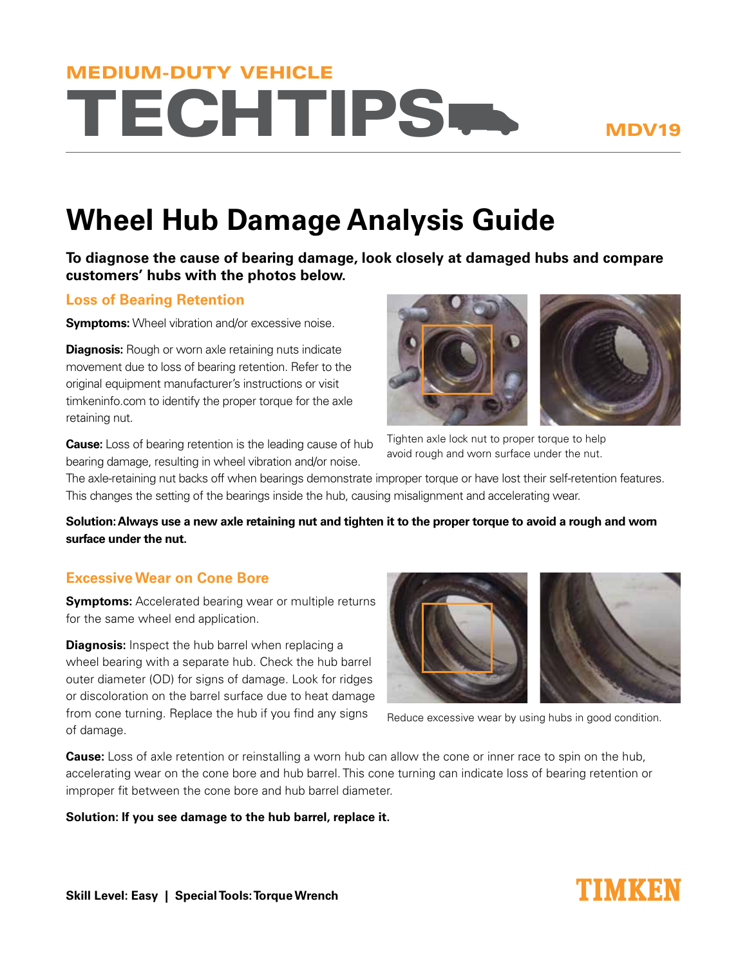# **TECHTIPS-**MEDIUM-DUTY VEHICLE

### MDV19

## **Wheel Hub Damage Analysis Guide**

**To diagnose the cause of bearing damage, look closely at damaged hubs and compare customers' hubs with the photos below.** 

#### **Loss of Bearing Retention**

**Symptoms:** Wheel vibration and/or excessive noise.

**Diagnosis:** Rough or worn axle retaining nuts indicate movement due to loss of bearing retention. Refer to the original equipment manufacturer's instructions or visit timkeninfo.com to identify the proper torque for the axle retaining nut.

**Cause:** Loss of bearing retention is the leading cause of hub bearing damage, resulting in wheel vibration and/or noise.



Tighten axle lock nut to proper torque to help avoid rough and worn surface under the nut.

The axle-retaining nut backs off when bearings demonstrate improper torque or have lost their self-retention features. This changes the setting of the bearings inside the hub, causing misalignment and accelerating wear.

**Solution: Always use a new axle retaining nut and tighten it to the proper torque to avoid a rough and worn surface under the nut.**

#### **Excessive Wear on Cone Bore**

**Symptoms:** Accelerated bearing wear or multiple returns for the same wheel end application.

**Diagnosis:** Inspect the hub barrel when replacing a wheel bearing with a separate hub. Check the hub barrel outer diameter (OD) for signs of damage. Look for ridges or discoloration on the barrel surface due to heat damage from cone turning. Replace the hub if you find any signs of damage.



Reduce excessive wear by using hubs in good condition.

**Cause:** Loss of axle retention or reinstalling a worn hub can allow the cone or inner race to spin on the hub, accelerating wear on the cone bore and hub barrel. This cone turning can indicate loss of bearing retention or improper fit between the cone bore and hub barrel diameter.

**Solution: If you see damage to the hub barrel, replace it.**